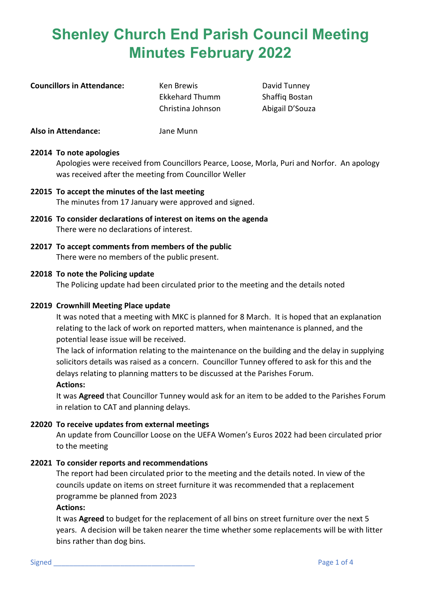**Councillors in Attendance:** Ken Brewis **Example 20 Figure 10 Attendance** Ken Brewis **Councillors** David Tunney

Ekkehard Thumm Shaffiq Bostan Christina Johnson Abigail D'Souza

**Also in Attendance:** Jane Munn

## **22014 To note apologies**

Apologies were received from Councillors Pearce, Loose, Morla, Puri and Norfor. An apology was received after the meeting from Councillor Weller

- **22015 To accept the minutes of the last meeting** The minutes from 17 January were approved and signed.
- **22016 To consider declarations of interest on items on the agenda** There were no declarations of interest.
- **22017 To accept comments from members of the public** There were no members of the public present.

## **22018 To note the Policing update**

The Policing update had been circulated prior to the meeting and the details noted

#### **22019 Crownhill Meeting Place update**

It was noted that a meeting with MKC is planned for 8 March. It is hoped that an explanation relating to the lack of work on reported matters, when maintenance is planned, and the potential lease issue will be received.

The lack of information relating to the maintenance on the building and the delay in supplying solicitors details was raised as a concern. Councillor Tunney offered to ask for this and the delays relating to planning matters to be discussed at the Parishes Forum.

## **Actions:**

It was **Agreed** that Councillor Tunney would ask for an item to be added to the Parishes Forum in relation to CAT and planning delays.

## **22020 To receive updates from external meetings**

An update from Councillor Loose on the UEFA Women's Euros 2022 had been circulated prior to the meeting

## **22021 To consider reports and recommendations**

The report had been circulated prior to the meeting and the details noted. In view of the councils update on items on street furniture it was recommended that a replacement programme be planned from 2023

#### **Actions:**

It was **Agreed** to budget for the replacement of all bins on street furniture over the next 5 years. A decision will be taken nearer the time whether some replacements will be with litter bins rather than dog bins.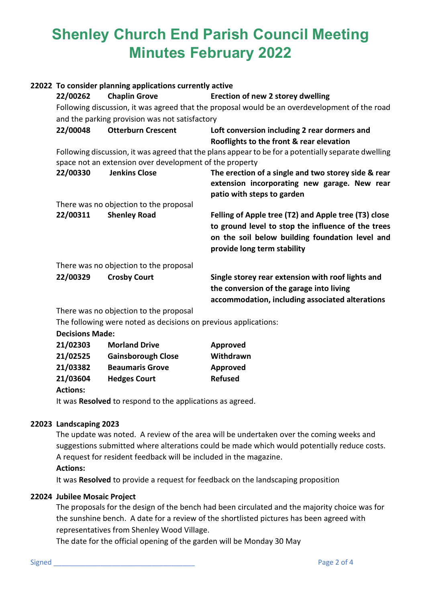| 22022 To consider planning applications currently active                                                                                                       |                                                                                               |                                                                                                                                                                                              |  |  |  |
|----------------------------------------------------------------------------------------------------------------------------------------------------------------|-----------------------------------------------------------------------------------------------|----------------------------------------------------------------------------------------------------------------------------------------------------------------------------------------------|--|--|--|
| 22/00262                                                                                                                                                       | <b>Chaplin Grove</b>                                                                          | Erection of new 2 storey dwelling                                                                                                                                                            |  |  |  |
|                                                                                                                                                                | Following discussion, it was agreed that the proposal would be an overdevelopment of the road |                                                                                                                                                                                              |  |  |  |
| and the parking provision was not satisfactory                                                                                                                 |                                                                                               |                                                                                                                                                                                              |  |  |  |
| 22/00048                                                                                                                                                       | <b>Otterburn Crescent</b>                                                                     | Loft conversion including 2 rear dormers and                                                                                                                                                 |  |  |  |
|                                                                                                                                                                |                                                                                               | Rooflights to the front & rear elevation                                                                                                                                                     |  |  |  |
| Following discussion, it was agreed that the plans appear to be for a potentially separate dwelling<br>space not an extension over development of the property |                                                                                               |                                                                                                                                                                                              |  |  |  |
| 22/00330                                                                                                                                                       | <b>Jenkins Close</b>                                                                          | The erection of a single and two storey side & rear<br>extension incorporating new garage. New rear<br>patio with steps to garden                                                            |  |  |  |
|                                                                                                                                                                | There was no objection to the proposal                                                        |                                                                                                                                                                                              |  |  |  |
| 22/00311                                                                                                                                                       | <b>Shenley Road</b>                                                                           | Felling of Apple tree (T2) and Apple tree (T3) close<br>to ground level to stop the influence of the trees<br>on the soil below building foundation level and<br>provide long term stability |  |  |  |
| There was no objection to the proposal                                                                                                                         |                                                                                               |                                                                                                                                                                                              |  |  |  |
| 22/00329                                                                                                                                                       | <b>Crosby Court</b>                                                                           | Single storey rear extension with roof lights and<br>the conversion of the garage into living<br>accommodation, including associated alterations                                             |  |  |  |
| There was no objection to the proposal                                                                                                                         |                                                                                               |                                                                                                                                                                                              |  |  |  |
|                                                                                                                                                                | The following were noted as decisions on previous applications:                               |                                                                                                                                                                                              |  |  |  |
| Decisions Made:                                                                                                                                                |                                                                                               |                                                                                                                                                                                              |  |  |  |

| 21/02303 | <b>Morland Drive</b>      | Approved       |
|----------|---------------------------|----------------|
| 21/02525 | <b>Gainsborough Close</b> | Withdrawn      |
| 21/03382 | <b>Beaumaris Grove</b>    | Approved       |
| 21/03604 | <b>Hedges Court</b>       | <b>Refused</b> |
|          |                           |                |

# **Actions:**

It was **Resolved** to respond to the applications as agreed.

# **22023 Landscaping 2023**

The update was noted. A review of the area will be undertaken over the coming weeks and suggestions submitted where alterations could be made which would potentially reduce costs. A request for resident feedback will be included in the magazine. **Actions:**

It was **Resolved** to provide a request for feedback on the landscaping proposition

# **22024 Jubilee Mosaic Project**

The proposals for the design of the bench had been circulated and the majority choice was for the sunshine bench. A date for a review of the shortlisted pictures has been agreed with representatives from Shenley Wood Village.

The date for the official opening of the garden will be Monday 30 May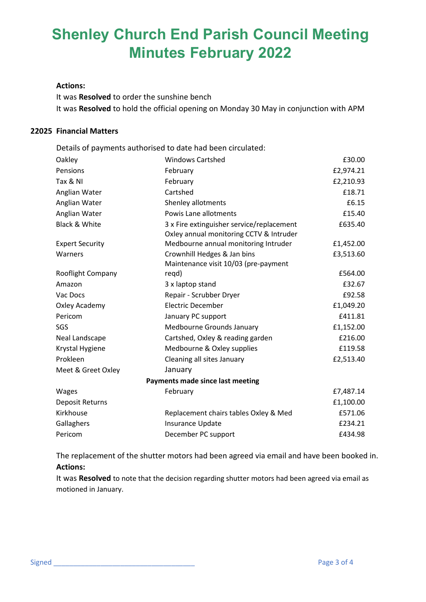#### **Actions:**

It was **Resolved** to order the sunshine bench It was **Resolved** to hold the official opening on Monday 30 May in conjunction with APM

#### **22025 Financial Matters**

Details of payments authorised to date had been circulated:

| Oakley                           | <b>Windows Cartshed</b>                                                              | £30.00    |  |  |  |
|----------------------------------|--------------------------------------------------------------------------------------|-----------|--|--|--|
| Pensions                         | February                                                                             | £2,974.21 |  |  |  |
| Tax & NI                         | February                                                                             | £2,210.93 |  |  |  |
| Anglian Water                    | Cartshed                                                                             | £18.71    |  |  |  |
| Anglian Water                    | Shenley allotments                                                                   | £6.15     |  |  |  |
| Anglian Water                    | Powis Lane allotments                                                                | £15.40    |  |  |  |
| <b>Black &amp; White</b>         | 3 x Fire extinguisher service/replacement<br>Oxley annual monitoring CCTV & Intruder | £635.40   |  |  |  |
| <b>Expert Security</b>           | Medbourne annual monitoring Intruder                                                 | £1,452.00 |  |  |  |
| Warners                          | Crownhill Hedges & Jan bins                                                          | £3,513.60 |  |  |  |
|                                  | Maintenance visit 10/03 (pre-payment                                                 |           |  |  |  |
| Rooflight Company                | regd)                                                                                | £564.00   |  |  |  |
| Amazon                           | 3 x laptop stand                                                                     | £32.67    |  |  |  |
| Vac Docs                         | Repair - Scrubber Dryer                                                              | £92.58    |  |  |  |
| Oxley Academy                    | <b>Electric December</b>                                                             | £1,049.20 |  |  |  |
| Pericom                          | January PC support                                                                   | £411.81   |  |  |  |
| SGS                              | Medbourne Grounds January                                                            | £1,152.00 |  |  |  |
| Neal Landscape                   | Cartshed, Oxley & reading garden                                                     | £216.00   |  |  |  |
| Krystal Hygiene                  | Medbourne & Oxley supplies                                                           | £119.58   |  |  |  |
| Prokleen                         | Cleaning all sites January                                                           | £2,513.40 |  |  |  |
| Meet & Greet Oxley               | January                                                                              |           |  |  |  |
| Payments made since last meeting |                                                                                      |           |  |  |  |
| <b>Wages</b>                     | February                                                                             | £7,487.14 |  |  |  |
| <b>Deposit Returns</b>           |                                                                                      | £1,100.00 |  |  |  |
| Kirkhouse                        | Replacement chairs tables Oxley & Med                                                | £571.06   |  |  |  |
| Gallaghers                       | Insurance Update                                                                     | £234.21   |  |  |  |
| Pericom                          | December PC support                                                                  | £434.98   |  |  |  |

The replacement of the shutter motors had been agreed via email and have been booked in. **Actions:**

It was **Resolved** to note that the decision regarding shutter motors had been agreed via email as motioned in January.